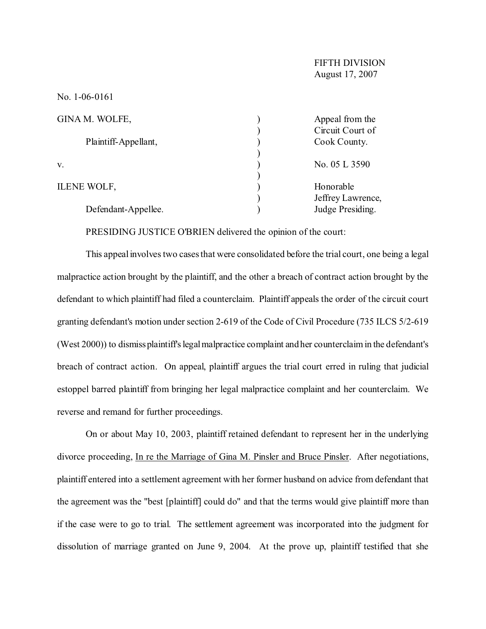| GINA M. WOLFE,       | Appeal from the   |  |
|----------------------|-------------------|--|
|                      | Circuit Court of  |  |
| Plaintiff-Appellant, | Cook County.      |  |
|                      |                   |  |
| V.                   | No. 05 L 3590     |  |
|                      |                   |  |
| <b>ILENE WOLF,</b>   | Honorable         |  |
|                      | Jeffrey Lawrence, |  |
| Defendant-Appellee.  | Judge Presiding.  |  |

PRESIDING JUSTICE O'BRIEN delivered the opinion of the court:

This appeal involves two cases that were consolidated before the trial court, one being a legal malpractice action brought by the plaintiff, and the other a breach of contract action brought by the defendant to which plaintiff had filed a counterclaim. Plaintiff appeals the order of the circuit court granting defendant's motion under section 2-619 of the Code of Civil Procedure (735 ILCS 5/2-619 (West 2000)) to dismiss plaintiff's legal malpractice complaint and her counterclaim in the defendant's breach of contract action. On appeal, plaintiff argues the trial court erred in ruling that judicial estoppel barred plaintiff from bringing her legal malpractice complaint and her counterclaim. We reverse and remand for further proceedings.

On or about May 10, 2003, plaintiff retained defendant to represent her in the underlying divorce proceeding, In re the Marriage of Gina M. Pinsler and Bruce Pinsler. After negotiations, plaintiff entered into a settlement agreement with her former husband on advice from defendant that the agreement was the "best [plaintiff] could do" and that the terms would give plaintiff more than if the case were to go to trial. The settlement agreement was incorporated into the judgment for dissolution of marriage granted on June 9, 2004. At the prove up, plaintiff testified that she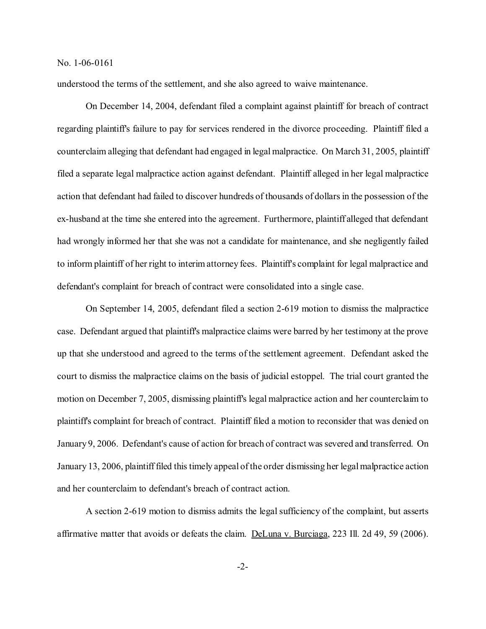understood the terms of the settlement, and she also agreed to waive maintenance.

On December 14, 2004, defendant filed a complaint against plaintiff for breach of contract regarding plaintiff's failure to pay for services rendered in the divorce proceeding. Plaintiff filed a counterclaim alleging that defendant had engaged in legal malpractice. On March 31, 2005, plaintiff filed a separate legal malpractice action against defendant. Plaintiff alleged in her legal malpractice action that defendant had failed to discover hundreds of thousands of dollars in the possession of the ex-husband at the time she entered into the agreement. Furthermore, plaintiff alleged that defendant had wrongly informed her that she was not a candidate for maintenance, and she negligently failed to inform plaintiff of her right to interim attorney fees. Plaintiff's complaint for legal malpractice and defendant's complaint for breach of contract were consolidated into a single case.

On September 14, 2005, defendant filed a section 2-619 motion to dismiss the malpractice case. Defendant argued that plaintiff's malpractice claims were barred by her testimony at the prove up that she understood and agreed to the terms of the settlement agreement. Defendant asked the court to dismiss the malpractice claims on the basis of judicial estoppel. The trial court granted the motion on December 7, 2005, dismissing plaintiff's legal malpractice action and her counterclaim to plaintiff's complaint for breach of contract. Plaintiff filed a motion to reconsider that was denied on January 9, 2006. Defendant's cause of action for breach of contract was severed and transferred. On January 13, 2006, plaintiff filed this timely appeal of the order dismissing her legal malpractice action and her counterclaim to defendant's breach of contract action.

A section 2-619 motion to dismiss admits the legal sufficiency of the complaint, but asserts affirmative matter that avoids or defeats the claim. DeLuna v. Burciaga, 223 Ill. 2d 49, 59 (2006).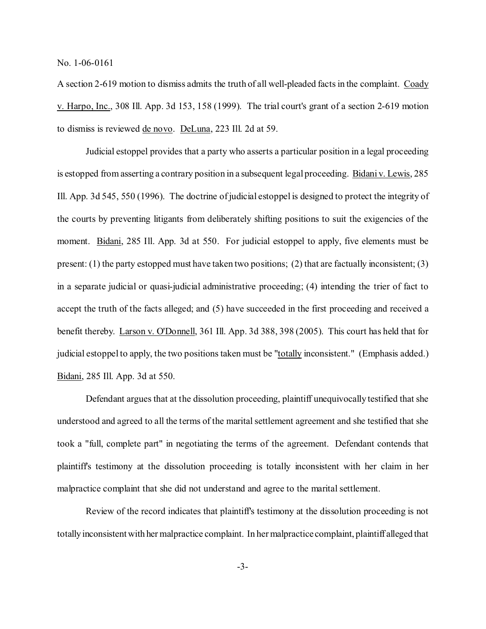A section 2-619 motion to dismiss admits the truth of all well-pleaded facts in the complaint. Coady v. Harpo, Inc., 308 Ill. App. 3d 153, 158 (1999). The trial court's grant of a section 2-619 motion to dismiss is reviewed de novo. DeLuna, 223 Ill. 2d at 59.

Judicial estoppel provides that a party who asserts a particular position in a legal proceeding is estopped from asserting a contrary position in a subsequent legal proceeding. Bidani v. Lewis, 285 Ill. App. 3d 545, 550 (1996). The doctrine of judicial estoppel is designed to protect the integrity of the courts by preventing litigants from deliberately shifting positions to suit the exigencies of the moment. Bidani, 285 Ill. App. 3d at 550. For judicial estoppel to apply, five elements must be present: (1) the party estopped must have taken two positions; (2) that are factually inconsistent; (3) in a separate judicial or quasi-judicial administrative proceeding; (4) intending the trier of fact to accept the truth of the facts alleged; and (5) have succeeded in the first proceeding and received a benefit thereby. Larson v. O'Donnell, 361 Ill. App. 3d 388, 398 (2005). This court has held that for judicial estoppel to apply, the two positions taken must be "totally inconsistent." (Emphasis added.) Bidani, 285 Ill. App. 3d at 550.

Defendant argues that at the dissolution proceeding, plaintiff unequivocally testified that she understood and agreed to all the terms of the marital settlement agreement and she testified that she took a "full, complete part" in negotiating the terms of the agreement. Defendant contends that plaintiff's testimony at the dissolution proceeding is totally inconsistent with her claim in her malpractice complaint that she did not understand and agree to the marital settlement.

Review of the record indicates that plaintiff's testimony at the dissolution proceeding is not totally inconsistent with her malpractice complaint. In her malpractice complaint, plaintiff alleged that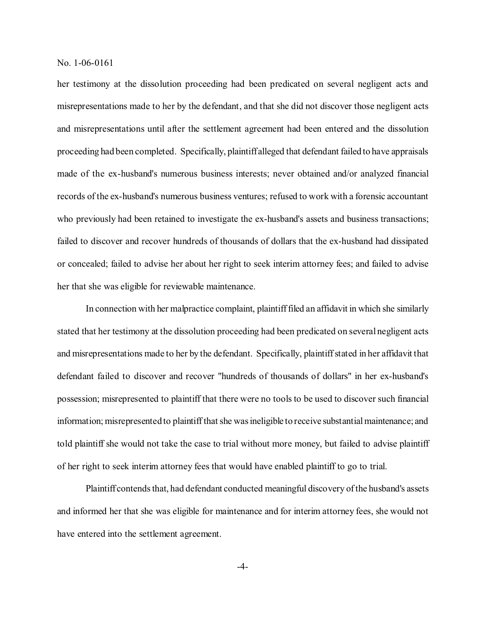her testimony at the dissolution proceeding had been predicated on several negligent acts and misrepresentations made to her by the defendant, and that she did not discover those negligent acts and misrepresentations until after the settlement agreement had been entered and the dissolution proceeding had been completed. Specifically, plaintiff alleged that defendant failed to have appraisals made of the ex-husband's numerous business interests; never obtained and/or analyzed financial records of the ex-husband's numerous business ventures; refused to work with a forensic accountant who previously had been retained to investigate the ex-husband's assets and business transactions; failed to discover and recover hundreds of thousands of dollars that the ex-husband had dissipated or concealed; failed to advise her about her right to seek interim attorney fees; and failed to advise her that she was eligible for reviewable maintenance.

In connection with her malpractice complaint, plaintiff filed an affidavit in which she similarly stated that her testimony at the dissolution proceeding had been predicated on several negligent acts and misrepresentations made to her by the defendant. Specifically, plaintiff stated in her affidavit that defendant failed to discover and recover "hundreds of thousands of dollars" in her ex-husband's possession; misrepresented to plaintiff that there were no tools to be used to discover such financial information; misrepresented to plaintiff that she was ineligible to receive substantial maintenance; and told plaintiff she would not take the case to trial without more money, but failed to advise plaintiff of her right to seek interim attorney fees that would have enabled plaintiff to go to trial.

Plaintiff contends that, had defendant conducted meaningful discovery of the husband's assets and informed her that she was eligible for maintenance and for interim attorney fees, she would not have entered into the settlement agreement.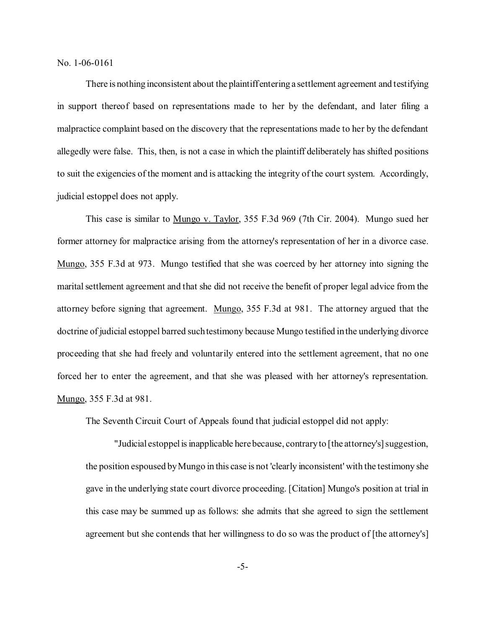There is nothing inconsistent about the plaintiff entering a settlement agreement and testifying in support thereof based on representations made to her by the defendant, and later filing a malpractice complaint based on the discovery that the representations made to her by the defendant allegedly were false. This, then, is not a case in which the plaintiff deliberately has shifted positions to suit the exigencies of the moment and is attacking the integrity of the court system. Accordingly, judicial estoppel does not apply.

This case is similar to Mungo v. Taylor, 355 F.3d 969 (7th Cir. 2004). Mungo sued her former attorney for malpractice arising from the attorney's representation of her in a divorce case. Mungo, 355 F.3d at 973. Mungo testified that she was coerced by her attorney into signing the marital settlement agreement and that she did not receive the benefit of proper legal advice from the attorney before signing that agreement. Mungo, 355 F.3d at 981. The attorney argued that the doctrine of judicial estoppel barred such testimony because Mungo testified in the underlying divorce proceeding that she had freely and voluntarily entered into the settlement agreement, that no one forced her to enter the agreement, and that she was pleased with her attorney's representation. Mungo, 355 F.3d at 981.

The Seventh Circuit Court of Appeals found that judicial estoppel did not apply:

"Judicial estoppel is inapplicable here because, contrary to [the attorney's] suggestion, the position espoused by Mungo in this case is not 'clearly inconsistent' with the testimony she gave in the underlying state court divorce proceeding. [Citation] Mungo's position at trial in this case may be summed up as follows: she admits that she agreed to sign the settlement agreement but she contends that her willingness to do so was the product of [the attorney's]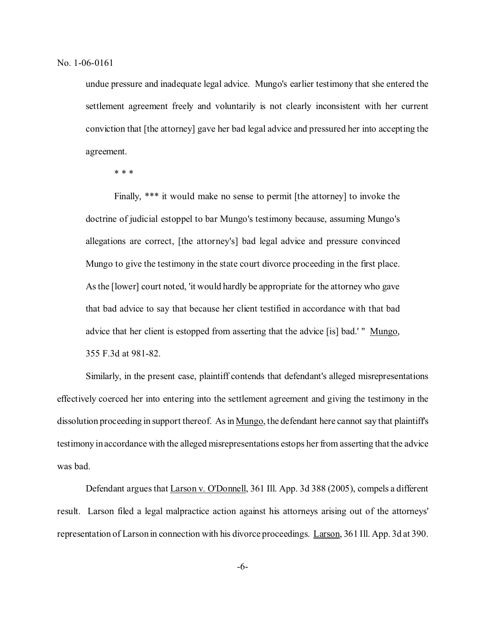undue pressure and inadequate legal advice. Mungo's earlier testimony that she entered the settlement agreement freely and voluntarily is not clearly inconsistent with her current conviction that [the attorney] gave her bad legal advice and pressured her into accepting the agreement.

\* \* \*

Finally, \*\*\* it would make no sense to permit [the attorney] to invoke the doctrine of judicial estoppel to bar Mungo's testimony because, assuming Mungo's allegations are correct, [the attorney's] bad legal advice and pressure convinced Mungo to give the testimony in the state court divorce proceeding in the first place. As the [lower] court noted, 'it would hardly be appropriate for the attorney who gave that bad advice to say that because her client testified in accordance with that bad advice that her client is estopped from asserting that the advice [is] bad.' " Mungo, 355 F.3d at 981-82.

Similarly, in the present case, plaintiff contends that defendant's alleged misrepresentations effectively coerced her into entering into the settlement agreement and giving the testimony in the dissolution proceeding in support thereof. As in Mungo, the defendant here cannot say that plaintiff's testimony in accordance with the alleged misrepresentations estops her from asserting that the advice was bad.

Defendant argues that **Larson v. O'Donnell**, 361 Ill. App. 3d 388 (2005), compels a different result. Larson filed a legal malpractice action against his attorneys arising out of the attorneys' representation of Larson in connection with his divorce proceedings. Larson, 361 Ill. App. 3d at 390.

-6-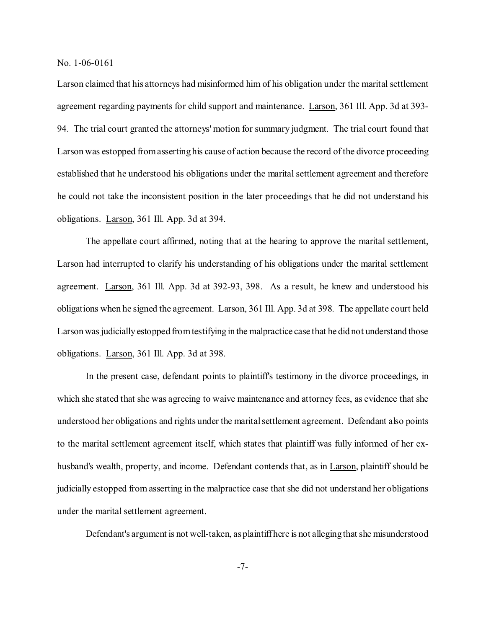Larson claimed that his attorneys had misinformed him of his obligation under the marital settlement agreement regarding payments for child support and maintenance. Larson, 361 Ill. App. 3d at 393- 94. The trial court granted the attorneys' motion for summary judgment. The trial court found that Larson was estopped from asserting his cause of action because the record of the divorce proceeding established that he understood his obligations under the marital settlement agreement and therefore he could not take the inconsistent position in the later proceedings that he did not understand his obligations. Larson, 361 Ill. App. 3d at 394.

The appellate court affirmed, noting that at the hearing to approve the marital settlement, Larson had interrupted to clarify his understanding of his obligations under the marital settlement agreement. Larson, 361 Ill. App. 3d at 392-93, 398. As a result, he knew and understood his obligations when he signed the agreement. Larson, 361 Ill. App. 3d at 398. The appellate court held Larson was judicially estopped from testifying in the malpractice case that he did not understand those obligations. Larson, 361 Ill. App. 3d at 398.

In the present case, defendant points to plaintiff's testimony in the divorce proceedings, in which she stated that she was agreeing to waive maintenance and attorney fees, as evidence that she understood her obligations and rights under the marital settlement agreement. Defendant also points to the marital settlement agreement itself, which states that plaintiff was fully informed of her exhusband's wealth, property, and income. Defendant contends that, as in Larson, plaintiff should be judicially estopped from asserting in the malpractice case that she did not understand her obligations under the marital settlement agreement.

Defendant's argument is not well-taken, as plaintiff here is not alleging that she misunderstood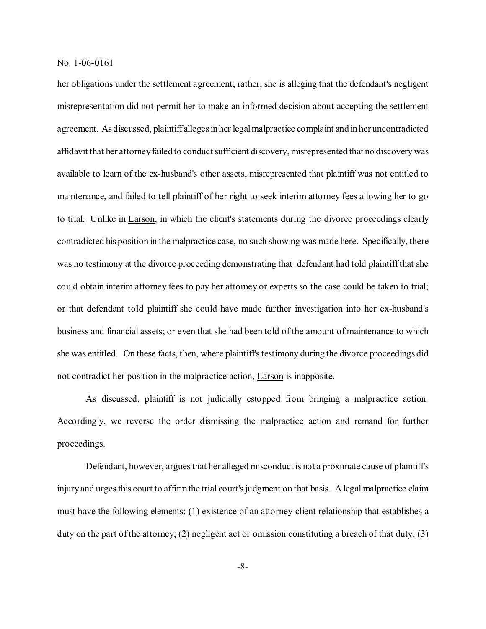her obligations under the settlement agreement; rather, she is alleging that the defendant's negligent misrepresentation did not permit her to make an informed decision about accepting the settlement agreement. As discussed, plaintiff alleges in her legal malpractice complaint and in her uncontradicted affidavit that her attorney failed to conduct sufficient discovery, misrepresented that no discovery was available to learn of the ex-husband's other assets, misrepresented that plaintiff was not entitled to maintenance, and failed to tell plaintiff of her right to seek interim attorney fees allowing her to go to trial. Unlike in Larson, in which the client's statements during the divorce proceedings clearly contradicted his position in the malpractice case, no such showing was made here. Specifically, there was no testimony at the divorce proceeding demonstrating that defendant had told plaintiff that she could obtain interim attorney fees to pay her attorney or experts so the case could be taken to trial; or that defendant told plaintiff she could have made further investigation into her ex-husband's business and financial assets; or even that she had been told of the amount of maintenance to which she was entitled. On these facts, then, where plaintiff's testimony during the divorce proceedings did not contradict her position in the malpractice action, Larson is inapposite.

As discussed, plaintiff is not judicially estopped from bringing a malpractice action. Accordingly, we reverse the order dismissing the malpractice action and remand for further proceedings.

Defendant, however, argues that her alleged misconduct is not a proximate cause of plaintiff's injury and urges this court to affirm the trial court's judgment on that basis. A legal malpractice claim must have the following elements: (1) existence of an attorney-client relationship that establishes a duty on the part of the attorney; (2) negligent act or omission constituting a breach of that duty; (3)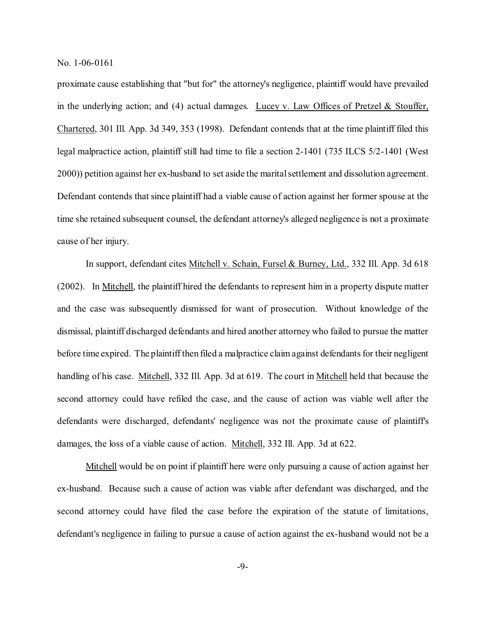proximate cause establishing that "but for" the attorney's negligence, plaintiff would have prevailed in the underlying action; and (4) actual damages. Lucey v. Law Offices of Pretzel  $&$  Stouffer, Chartered, 301 Ill. App. 3d 349, 353 (1998). Defendant contends that at the time plaintiff filed this legal malpractice action, plaintiff still had time to file a section 2-1401 (735 ILCS 5/2-1401 (West 2000)) petition against her ex-husband to set aside the marital settlement and dissolution agreement. Defendant contends that since plaintiff had a viable cause of action against her former spouse at the time she retained subsequent counsel, the defendant attorney's alleged negligence is not a proximate cause of her injury.

In support, defendant cites Mitchell v. Schain, Fursel & Burney, Ltd., 332 Ill. App. 3d 618 (2002). In Mitchell, the plaintiff hired the defendants to represent him in a property dispute matter and the case was subsequently dismissed for want of prosecution. Without knowledge of the dismissal, plaintiff discharged defendants and hired another attorney who failed to pursue the matter before time expired. The plaintiff then filed a malpractice claim against defendants for their negligent handling of his case. Mitchell, 332 Ill. App. 3d at 619. The court in Mitchell held that because the second attorney could have refiled the case, and the cause of action was viable well after the defendants were discharged, defendants' negligence was not the proximate cause of plaintiff's damages, the loss of a viable cause of action. Mitchell, 332 Ill. App. 3d at 622.

Mitchell would be on point if plaintiff here were only pursuing a cause of action against her ex-husband. Because such a cause of action was viable after defendant was discharged, and the second attorney could have filed the case before the expiration of the statute of limitations, defendant's negligence in failing to pursue a cause of action against the ex-husband would not be a